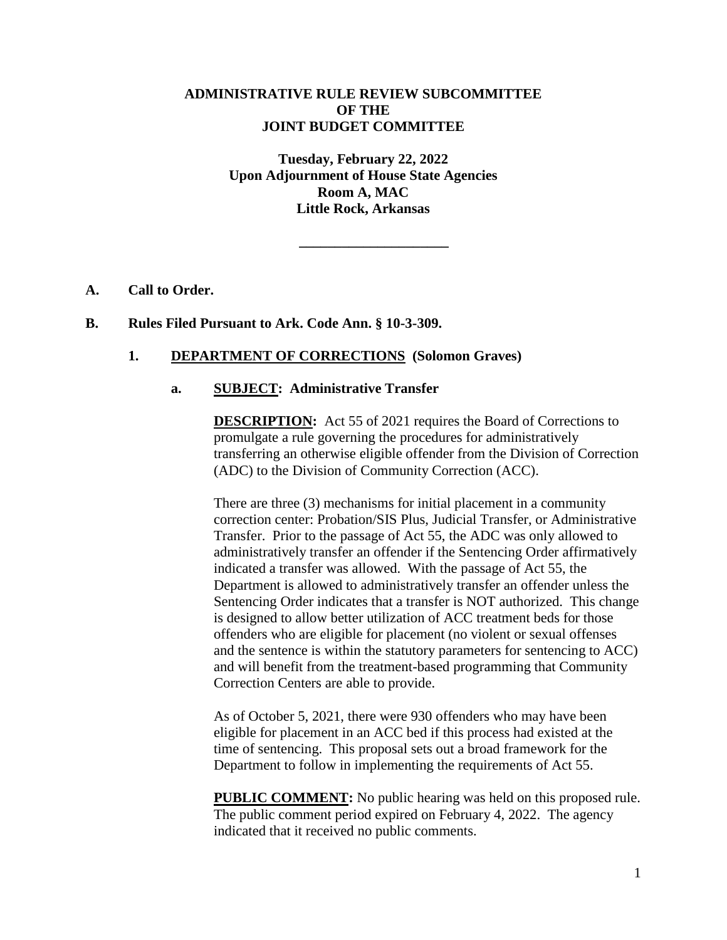## **ADMINISTRATIVE RULE REVIEW SUBCOMMITTEE OF THE JOINT BUDGET COMMITTEE**

**Tuesday, February 22, 2022 Upon Adjournment of House State Agencies Room A, MAC Little Rock, Arkansas**

**\_\_\_\_\_\_\_\_\_\_\_\_\_\_\_\_\_\_\_\_\_**

#### **A. Call to Order.**

#### **B. Rules Filed Pursuant to Ark. Code Ann. § 10-3-309.**

## **1. DEPARTMENT OF CORRECTIONS (Solomon Graves)**

#### **a. SUBJECT: Administrative Transfer**

**DESCRIPTION:** Act 55 of 2021 requires the Board of Corrections to promulgate a rule governing the procedures for administratively transferring an otherwise eligible offender from the Division of Correction (ADC) to the Division of Community Correction (ACC).

There are three (3) mechanisms for initial placement in a community correction center: Probation/SIS Plus, Judicial Transfer, or Administrative Transfer. Prior to the passage of Act 55, the ADC was only allowed to administratively transfer an offender if the Sentencing Order affirmatively indicated a transfer was allowed. With the passage of Act 55, the Department is allowed to administratively transfer an offender unless the Sentencing Order indicates that a transfer is NOT authorized. This change is designed to allow better utilization of ACC treatment beds for those offenders who are eligible for placement (no violent or sexual offenses and the sentence is within the statutory parameters for sentencing to ACC) and will benefit from the treatment-based programming that Community Correction Centers are able to provide.

As of October 5, 2021, there were 930 offenders who may have been eligible for placement in an ACC bed if this process had existed at the time of sentencing. This proposal sets out a broad framework for the Department to follow in implementing the requirements of Act 55.

**PUBLIC COMMENT:** No public hearing was held on this proposed rule. The public comment period expired on February 4, 2022. The agency indicated that it received no public comments.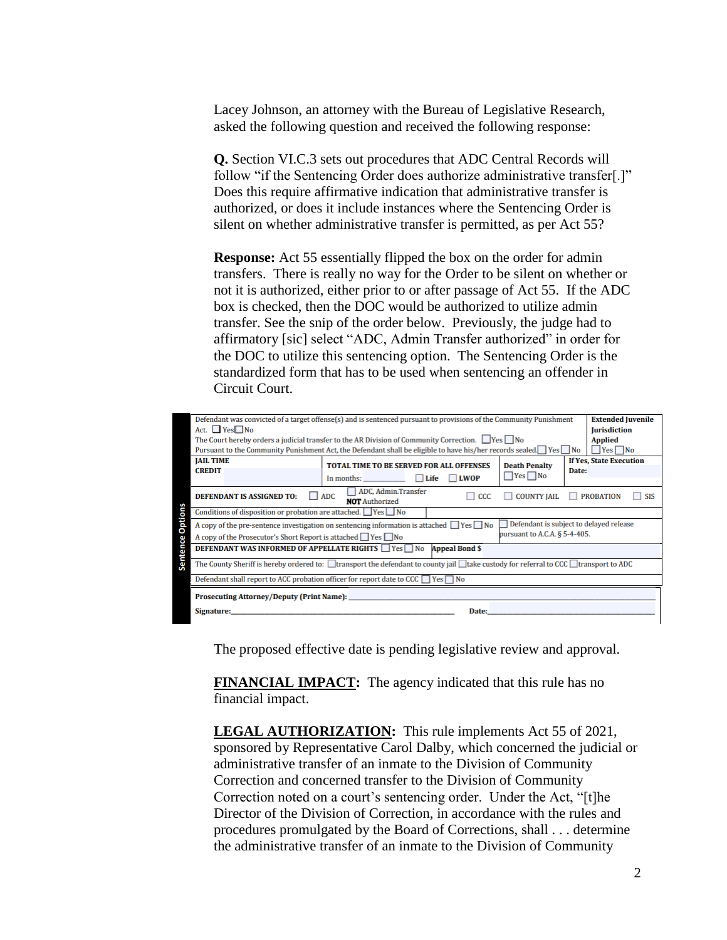Lacey Johnson, an attorney with the Bureau of Legislative Research, asked the following question and received the following response:

**Q.** Section VI.C.3 sets out procedures that ADC Central Records will follow "if the Sentencing Order does authorize administrative transfer[.]" Does this require affirmative indication that administrative transfer is authorized, or does it include instances where the Sentencing Order is silent on whether administrative transfer is permitted, as per Act 55?

**Response:** Act 55 essentially flipped the box on the order for admin transfers. There is really no way for the Order to be silent on whether or not it is authorized, either prior to or after passage of Act 55. If the ADC box is checked, then the DOC would be authorized to utilize admin transfer. See the snip of the order below. Previously, the judge had to affirmatory [sic] select "ADC, Admin Transfer authorized" in order for the DOC to utilize this sentencing option. The Sentencing Order is the standardized form that has to be used when sentencing an offender in Circuit Court.

| Defendant was convicted of a target offense(s) and is sentenced pursuant to provisions of the Community Punishment<br><b>Extended Juvenile</b>                          |                                                 |                      |                                |
|-------------------------------------------------------------------------------------------------------------------------------------------------------------------------|-------------------------------------------------|----------------------|--------------------------------|
| Act. $\Box$ Yes $\Box$ No<br><b>Jurisdiction</b>                                                                                                                        |                                                 |                      |                                |
| The Court hereby orders a judicial transfer to the AR Division of Community Correction. $\Box$ Yes $\Box$ No<br><b>Applied</b>                                          |                                                 |                      |                                |
| $\blacksquare$ Yes $\blacksquare$ No<br>Pursuant to the Community Punishment Act, the Defendant shall be eligible to have his/her records sealed. $\Box$ Yes $\Box$ No  |                                                 |                      |                                |
| <b>JAIL TIME</b>                                                                                                                                                        | <b>TOTAL TIME TO BE SERVED FOR ALL OFFENSES</b> | <b>Death Penalty</b> | <b>If Yes, State Execution</b> |
| <b>CREDIT</b>                                                                                                                                                           |                                                 |                      | Date:                          |
|                                                                                                                                                                         | Life<br><b>LWOP</b><br>In months:               | $\Box$ Yes $\Box$ No |                                |
| ADC, Admin.Transfer<br>$\Box$ ADC<br><b>DEFENDANT IS ASSIGNED TO:</b><br><b>COUNTY IAIL</b><br>CCC<br><b>PROBATION</b><br><b>SIS</b><br>ш<br>H<br><b>NOT</b> Authorized |                                                 |                      |                                |
| <b>Sentence Options</b><br>Conditions of disposition or probation are attached. $\Box$ Yes $\Box$ No                                                                    |                                                 |                      |                                |
| Defendant is subject to delayed release<br>A copy of the pre-sentence investigation on sentencing information is attached $\Box$ Yes $\Box$ No                          |                                                 |                      |                                |
| pursuant to A.C.A. § 5-4-405.<br>A copy of the Prosecutor's Short Report is attached Pes DNo                                                                            |                                                 |                      |                                |
| <b>DEFENDANT WAS INFORMED OF APPELLATE RIGHTS ■ Yes</b> ■ No<br><b>Appeal Bond \$</b>                                                                                   |                                                 |                      |                                |
| The County Sheriff is hereby ordered to: $\Box$ transport the defendant to county jail $\Box$ take custody for referral to CCC $\Box$ transport to ADC                  |                                                 |                      |                                |
| Defendant shall report to ACC probation officer for report date to CCC $\Box$ Yes $\Box$ No                                                                             |                                                 |                      |                                |
| <b>Prosecuting Attorney/Deputy (Print Name):</b>                                                                                                                        |                                                 |                      |                                |
| Signature:                                                                                                                                                              | Date:                                           |                      |                                |

The proposed effective date is pending legislative review and approval.

**FINANCIAL IMPACT:** The agency indicated that this rule has no financial impact.

**LEGAL AUTHORIZATION:** This rule implements Act 55 of 2021, sponsored by Representative Carol Dalby, which concerned the judicial or administrative transfer of an inmate to the Division of Community Correction and concerned transfer to the Division of Community Correction noted on a court's sentencing order. Under the Act, "[t]he Director of the Division of Correction, in accordance with the rules and procedures promulgated by the Board of Corrections, shall . . . determine the administrative transfer of an inmate to the Division of Community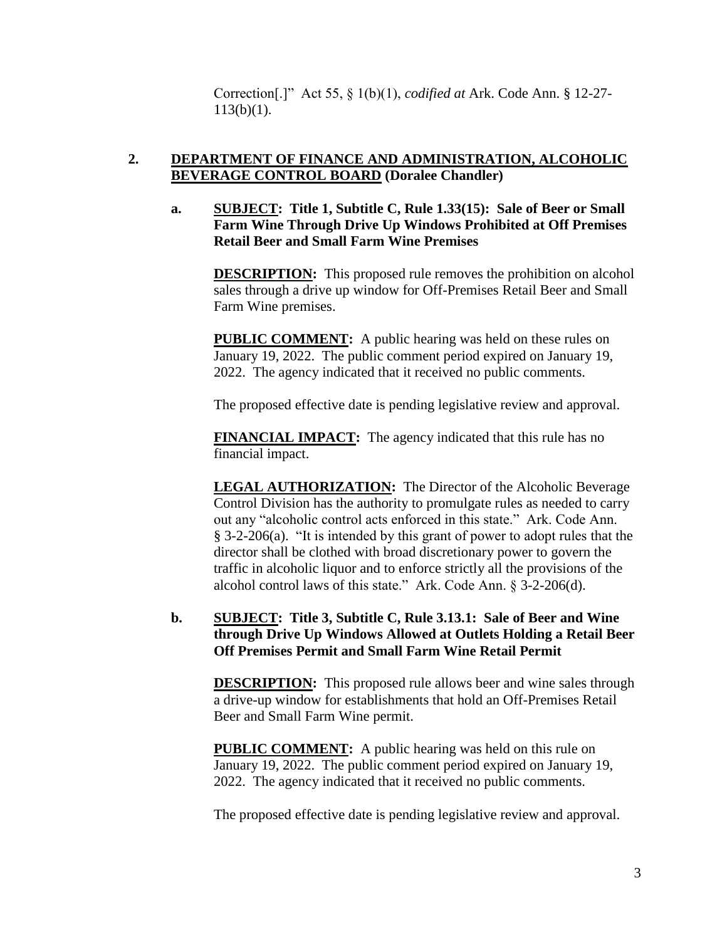Correction[.]" Act 55, § 1(b)(1), *codified at* Ark. Code Ann. § 12-27- 113(b)(1).

# **2. DEPARTMENT OF FINANCE AND ADMINISTRATION, ALCOHOLIC BEVERAGE CONTROL BOARD (Doralee Chandler)**

**a. SUBJECT: Title 1, Subtitle C, Rule 1.33(15): Sale of Beer or Small Farm Wine Through Drive Up Windows Prohibited at Off Premises Retail Beer and Small Farm Wine Premises**

**DESCRIPTION:** This proposed rule removes the prohibition on alcohol sales through a drive up window for Off-Premises Retail Beer and Small Farm Wine premises.

**PUBLIC COMMENT:** A public hearing was held on these rules on January 19, 2022. The public comment period expired on January 19, 2022. The agency indicated that it received no public comments.

The proposed effective date is pending legislative review and approval.

**FINANCIAL IMPACT:** The agency indicated that this rule has no financial impact.

**LEGAL AUTHORIZATION:** The Director of the Alcoholic Beverage Control Division has the authority to promulgate rules as needed to carry out any "alcoholic control acts enforced in this state." Ark. Code Ann. § 3-2-206(a). "It is intended by this grant of power to adopt rules that the director shall be clothed with broad discretionary power to govern the traffic in alcoholic liquor and to enforce strictly all the provisions of the alcohol control laws of this state." Ark. Code Ann. § 3-2-206(d).

## **b. SUBJECT: Title 3, Subtitle C, Rule 3.13.1: Sale of Beer and Wine through Drive Up Windows Allowed at Outlets Holding a Retail Beer Off Premises Permit and Small Farm Wine Retail Permit**

**DESCRIPTION:** This proposed rule allows beer and wine sales through a drive-up window for establishments that hold an Off-Premises Retail Beer and Small Farm Wine permit.

**PUBLIC COMMENT:** A public hearing was held on this rule on January 19, 2022. The public comment period expired on January 19, 2022. The agency indicated that it received no public comments.

The proposed effective date is pending legislative review and approval.